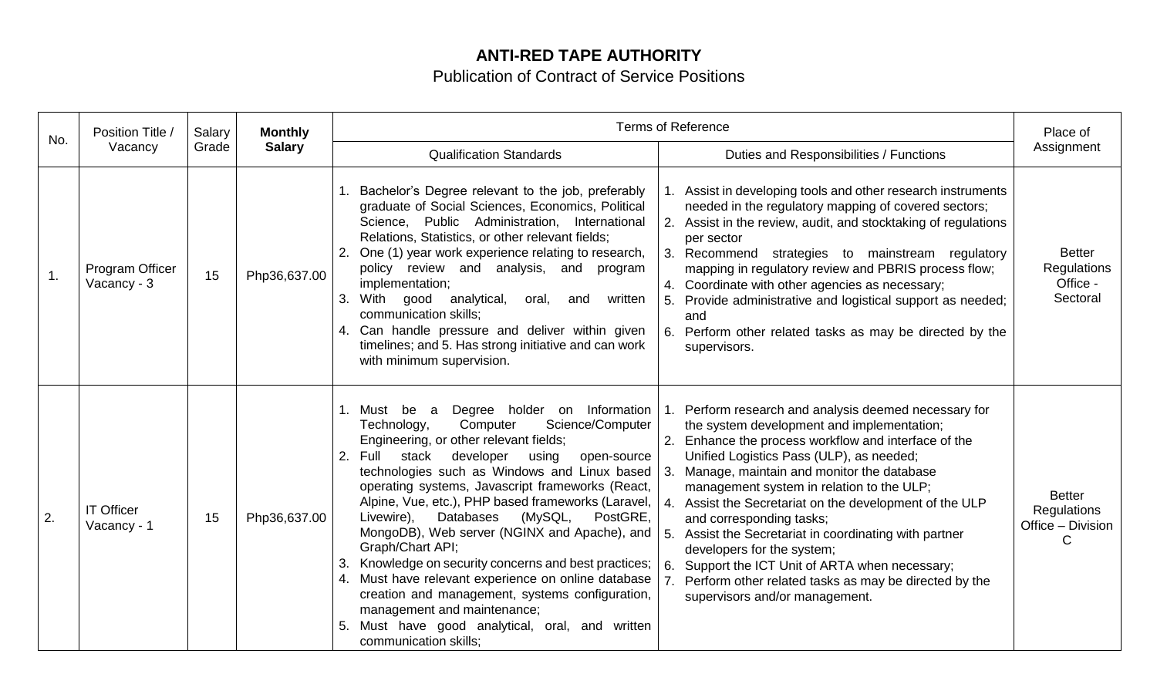## **ANTI-RED TAPE AUTHORITY**

## Publication of Contract of Service Positions

| No. | Position Title /<br>Vacancy      | Salary<br>Grade | <b>Monthly</b><br><b>Salary</b> | <b>Terms of Reference</b>                                                                                                                                                                                                                                                                                                                                                                                                                                                                                                                                                                                                                                                                                                                                                |                                                                                                                                                                                                                                                                                                                                                                                                                                                                                                                                                                                                                                                  | Place of                                                      |
|-----|----------------------------------|-----------------|---------------------------------|--------------------------------------------------------------------------------------------------------------------------------------------------------------------------------------------------------------------------------------------------------------------------------------------------------------------------------------------------------------------------------------------------------------------------------------------------------------------------------------------------------------------------------------------------------------------------------------------------------------------------------------------------------------------------------------------------------------------------------------------------------------------------|--------------------------------------------------------------------------------------------------------------------------------------------------------------------------------------------------------------------------------------------------------------------------------------------------------------------------------------------------------------------------------------------------------------------------------------------------------------------------------------------------------------------------------------------------------------------------------------------------------------------------------------------------|---------------------------------------------------------------|
|     |                                  |                 |                                 | <b>Qualification Standards</b>                                                                                                                                                                                                                                                                                                                                                                                                                                                                                                                                                                                                                                                                                                                                           | Duties and Responsibilities / Functions                                                                                                                                                                                                                                                                                                                                                                                                                                                                                                                                                                                                          | Assignment                                                    |
| 1.  | Program Officer<br>Vacancy - 3   | 15              | Php36,637.00                    | Bachelor's Degree relevant to the job, preferably<br>graduate of Social Sciences, Economics, Political<br>Science, Public Administration, International<br>Relations, Statistics, or other relevant fields;<br>One (1) year work experience relating to research,<br>2.<br>policy review and analysis, and program<br>implementation;<br>With good analytical,<br>written<br>3.<br>oral,<br>and<br>communication skills;<br>4. Can handle pressure and deliver within given<br>timelines; and 5. Has strong initiative and can work<br>with minimum supervision.                                                                                                                                                                                                         | Assist in developing tools and other research instruments<br>needed in the regulatory mapping of covered sectors;<br>2. Assist in the review, audit, and stocktaking of regulations<br>per sector<br>3. Recommend strategies to mainstream regulatory<br>mapping in regulatory review and PBRIS process flow;<br>4. Coordinate with other agencies as necessary;<br>5. Provide administrative and logistical support as needed;<br>and<br>6.<br>Perform other related tasks as may be directed by the<br>supervisors.                                                                                                                            | <b>Better</b><br><b>Regulations</b><br>Office -<br>Sectoral   |
| 2.  | <b>IT Officer</b><br>Vacancy - 1 | 15              | Php36,637.00                    | Degree holder on Information<br>1. Must<br>be<br>a<br>Science/Computer<br>Technology,<br>Computer<br>Engineering, or other relevant fields;<br>stack developer<br>2.<br>using<br>Full<br>open-source<br>technologies such as Windows and Linux based<br>operating systems, Javascript frameworks (React,<br>Alpine, Vue, etc.), PHP based frameworks (Laravel,<br>Databases<br>(MySQL,<br>PostGRE,<br>Livewire),<br>MongoDB), Web server (NGINX and Apache), and<br>Graph/Chart API;<br>Knowledge on security concerns and best practices;<br>3.<br>4. Must have relevant experience on online database<br>creation and management, systems configuration,<br>management and maintenance;<br>Must have good analytical, oral, and written<br>5.<br>communication skills; | Perform research and analysis deemed necessary for<br>the system development and implementation;<br>2. Enhance the process workflow and interface of the<br>Unified Logistics Pass (ULP), as needed;<br>Manage, maintain and monitor the database<br>3.<br>management system in relation to the ULP;<br>Assist the Secretariat on the development of the ULP<br>and corresponding tasks;<br>Assist the Secretariat in coordinating with partner<br>5 <sub>1</sub><br>developers for the system;<br>Support the ICT Unit of ARTA when necessary;<br>6.<br>Perform other related tasks as may be directed by the<br>supervisors and/or management. | <b>Better</b><br><b>Regulations</b><br>Office - Division<br>C |